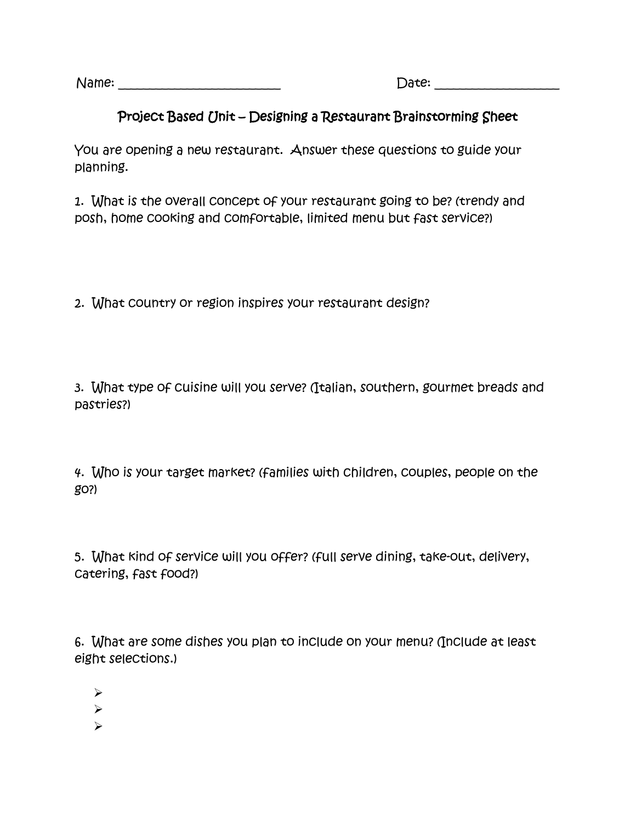Name: \_\_\_\_\_\_\_\_\_\_\_\_\_\_\_\_\_\_\_\_\_\_\_\_\_\_ Date: \_\_\_\_\_\_\_\_\_\_\_\_\_\_\_\_\_\_\_\_

## Project Based Unit – Designing a Restaurant Brainstorming Sheet

You are opening a new restaurant. Answer these questions to guide your planning.

1. What is the overall concept of your restaurant going to be? (trendy and posh, home cooking and comfortable, limited menu but fast service?)

2. What country or region inspires your restaurant design?

3. What type of cuisine will you serve? (Italian, southern, gourmet breads and pastries?)

4. Who is your target market? (families with children, couples, people on the go?)

5. What kind of service will you offer? (full serve dining, take-out, delivery, catering, fast food?)

6. What are some dishes you plan to include on your menu? (Include at least eight selections.)

- $\blacktriangleright$
- $\blacktriangleright$
- $\blacktriangleright$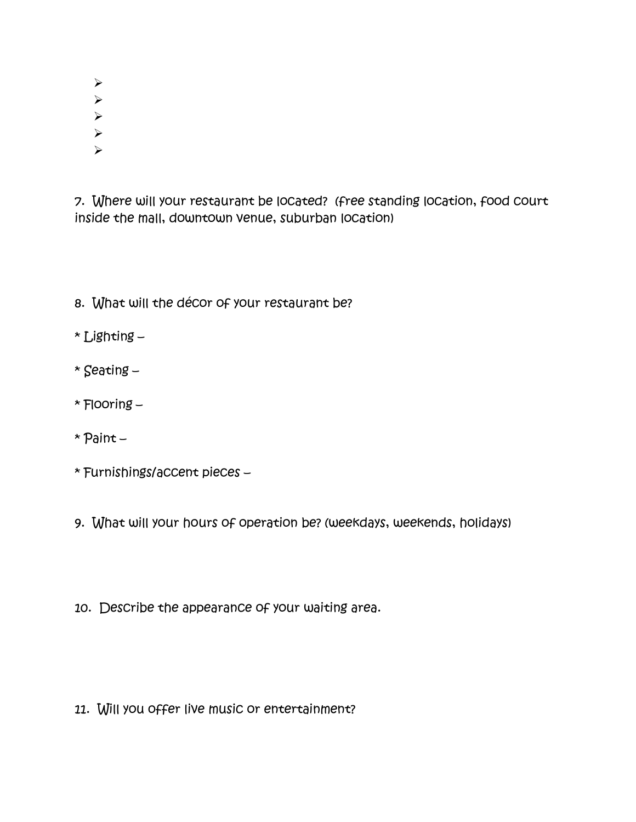- $\blacktriangleright$
- $\blacktriangleright$
- $\blacktriangleright$
- $\blacktriangleright$
- $\blacktriangleright$

7. Where will your restaurant be located? (free standing location, food court inside the mall, downtown venue, suburban location)

8. What will the décor of your restaurant be?

\* Lighting –

- \* Seating –
- \* Flooring –
- \* Paint –
- \* Furnishings/accent pieces –
- 9. What will your hours of operation be? (weekdays, weekends, holidays)
- 10. Describe the appearance of your waiting area.

11. Will you offer live music or entertainment?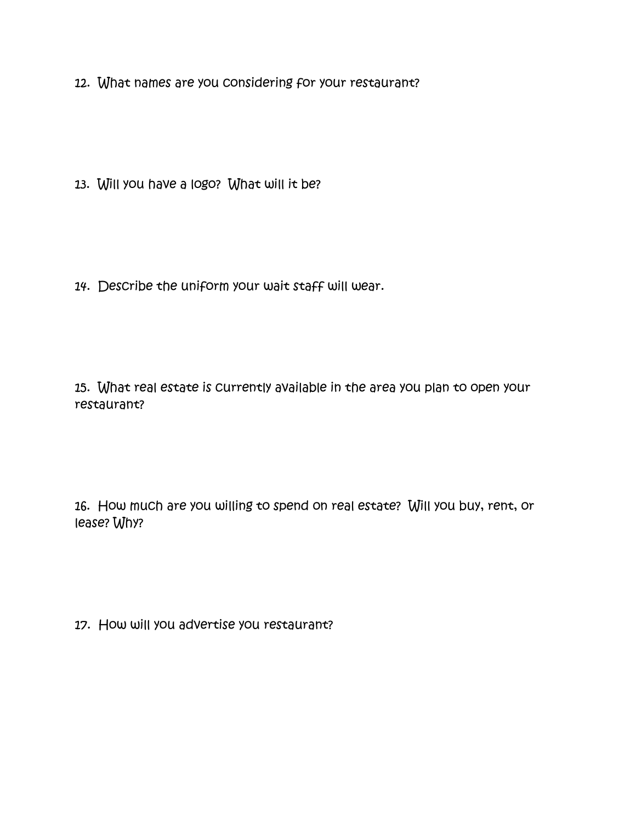12. What names are you considering for your restaurant?

13. Will you have a logo? What will it be?

14. Describe the uniform your wait staff will wear.

15. What real estate is currently available in the area you plan to open your restaurant?

16. How much are you willing to spend on real estate? Will you buy, rent, or lease? Why?

17. How will you advertise you restaurant?